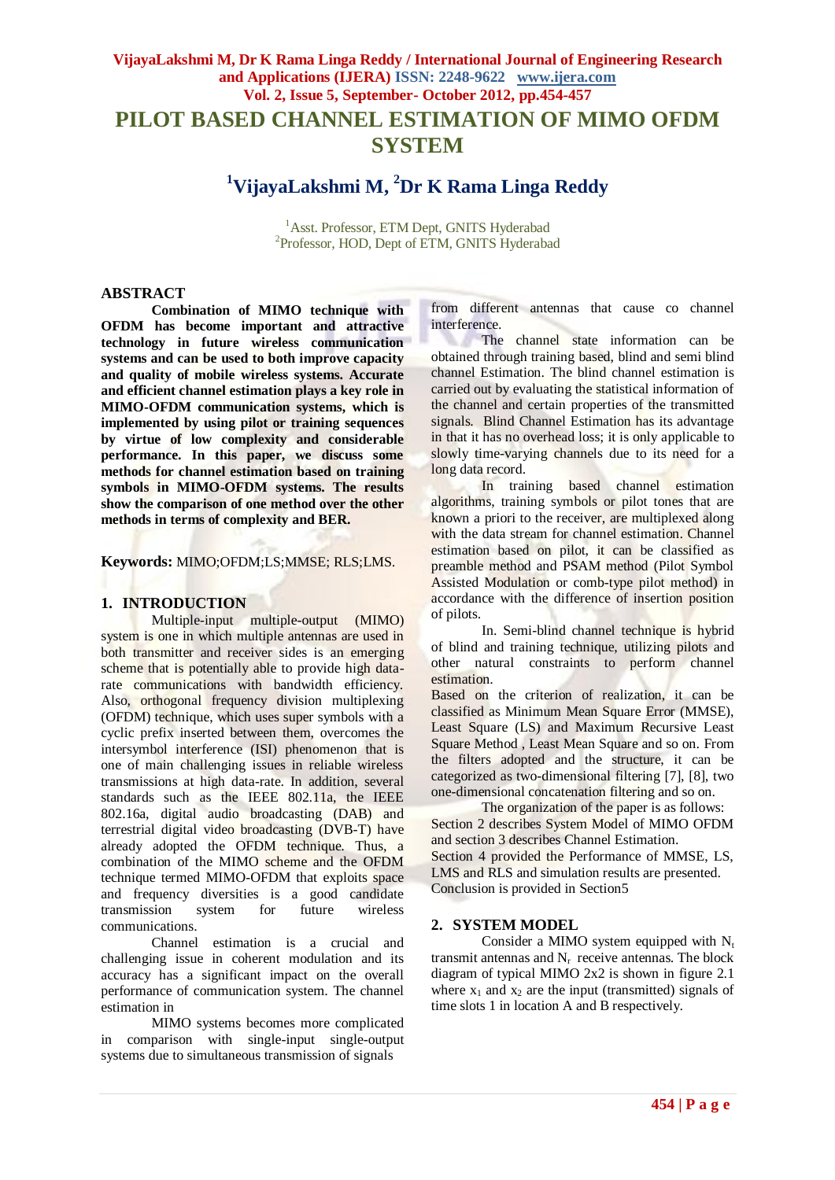## **VijayaLakshmi M, Dr K Rama Linga Reddy / International Journal of Engineering Research and Applications (IJERA) ISSN: 2248-9622 www.ijera.com Vol. 2, Issue 5, September- October 2012, pp.454-457 PILOT BASED CHANNEL ESTIMATION OF MIMO OFDM SYSTEM**

# **<sup>1</sup>VijayaLakshmi M, <sup>2</sup>Dr K Rama Linga Reddy**

<sup>1</sup> Asst. Professor, ETM Dept, GNITS Hyderabad <sup>2</sup>Professor, HOD, Dept of ETM, GNITS Hyderabad

#### **ABSTRACT**

**Combination of MIMO technique with OFDM has become important and attractive technology in future wireless communication systems and can be used to both improve capacity and quality of mobile wireless systems. Accurate and efficient channel estimation plays a key role in MIMO-OFDM communication systems, which is implemented by using pilot or training sequences by virtue of low complexity and considerable performance. In this paper, we discuss some methods for channel estimation based on training symbols in MIMO-OFDM systems. The results show the comparison of one method over the other methods in terms of complexity and BER.**

**Keywords:** MIMO;OFDM;LS;MMSE; RLS;LMS.

#### **1. INTRODUCTION**

Multiple-input multiple-output (MIMO) system is one in which multiple antennas are used in both transmitter and receiver sides is an emerging scheme that is potentially able to provide high datarate communications with bandwidth efficiency. Also, orthogonal frequency division multiplexing (OFDM) technique, which uses super symbols with a cyclic prefix inserted between them, overcomes the intersymbol interference (ISI) phenomenon that is one of main challenging issues in reliable wireless transmissions at high data-rate. In addition, several standards such as the IEEE 802.11a, the IEEE 802.16a, digital audio broadcasting (DAB) and terrestrial digital video broadcasting (DVB-T) have already adopted the OFDM technique. Thus, a combination of the MIMO scheme and the OFDM technique termed MIMO-OFDM that exploits space and frequency diversities is a good candidate transmission system for future wireless communications.

Channel estimation is a crucial and challenging issue in coherent modulation and its accuracy has a significant impact on the overall performance of communication system. The channel estimation in

MIMO systems becomes more complicated in comparison with single-input single-output systems due to simultaneous transmission of signals

from different antennas that cause co channel interference.

The channel state information can be obtained through training based, blind and semi blind channel Estimation. The blind channel estimation is carried out by evaluating the statistical information of the channel and certain properties of the transmitted signals. Blind Channel Estimation has its advantage in that it has no overhead loss; it is only applicable to slowly time-varying channels due to its need for a long data record.

In training based channel estimation algorithms, training symbols or pilot tones that are known a priori to the receiver, are multiplexed along with the data stream for channel estimation. Channel estimation based on pilot, it can be classified as preamble method and PSAM method (Pilot Symbol Assisted Modulation or comb-type pilot method) in accordance with the difference of insertion position of pilots.

In. Semi-blind channel technique is hybrid of blind and training technique, utilizing pilots and other natural constraints to perform channel estimation.

Based on the criterion of realization, it can be classified as Minimum Mean Square Error (MMSE), Least Square (LS) and Maximum Recursive Least Square Method , Least Mean Square and so on. From the filters adopted and the structure, it can be categorized as two-dimensional filtering [7], [8], two one-dimensional concatenation filtering and so on.

The organization of the paper is as follows: Section 2 describes System Model of MIMO OFDM and section 3 describes Channel Estimation.

Section 4 provided the Performance of MMSE, LS, LMS and RLS and simulation results are presented. Conclusion is provided in Section5

#### **2. SYSTEM MODEL**

Consider a MIMO system equipped with  $N_t$ transmit antennas and  $N_r$  receive antennas. The block diagram of typical MIMO 2x2 is shown in figure 2.1 where  $x_1$  and  $x_2$  are the input (transmitted) signals of time slots 1 in location A and B respectively.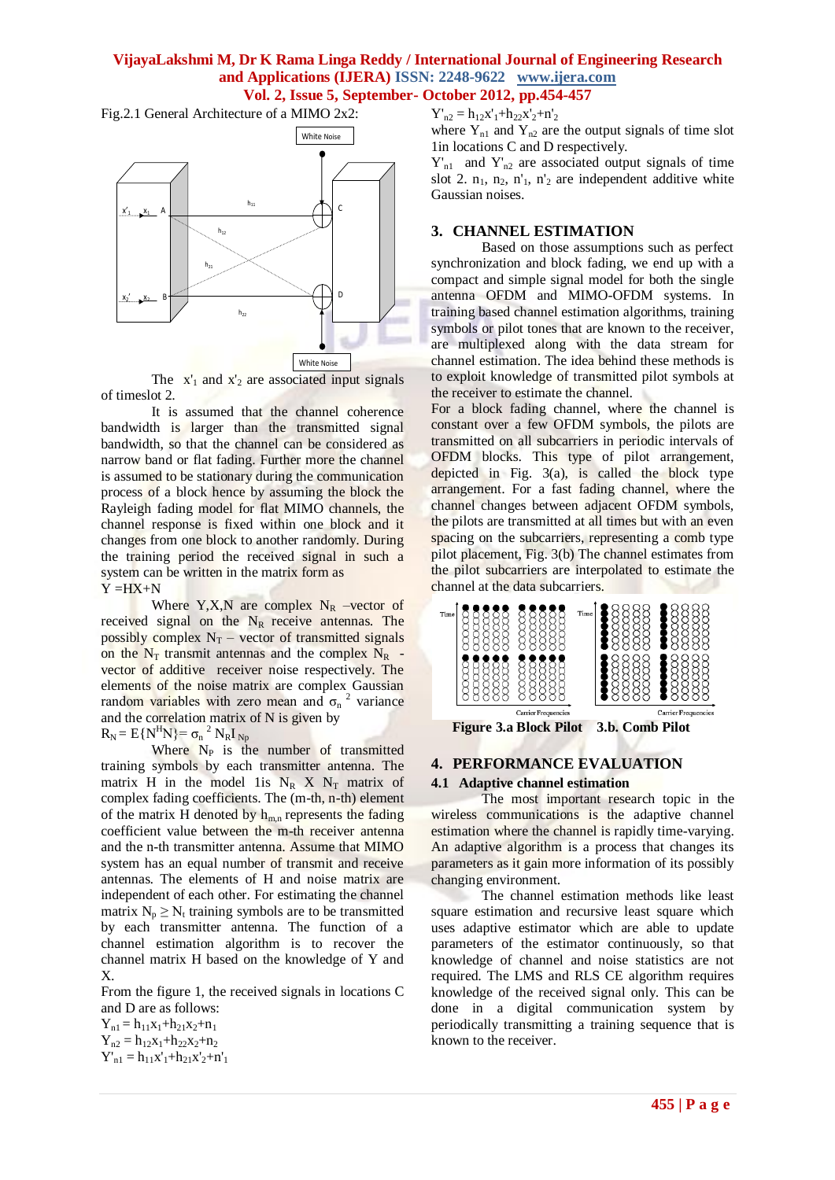## **VijayaLakshmi M, Dr K Rama Linga Reddy / International Journal of Engineering Research and Applications (IJERA) ISSN: 2248-9622 www.ijera.com Vol. 2, Issue 5, September- October 2012, pp.454-457**

Fig.2.1 General Architecture of a MIMO 2x2:



The  $x'_1$  and  $x'_2$  are associated input signals of timeslot 2.

It is assumed that the channel coherence bandwidth is larger than the transmitted signal bandwidth, so that the channel can be considered as narrow band or flat fading. Further more the channel is assumed to be stationary during the communication process of a block hence by assuming the block the Rayleigh fading model for flat MIMO channels, the channel response is fixed within one block and it changes from one block to another randomly. During the training period the received signal in such a system can be written in the matrix form as  $Y = HX + N$ 

Where Y,X,N are complex  $N_R$  –vector of received signal on the  $N_R$  receive antennas. The possibly complex  $N_T$  – vector of transmitted signals on the  $N_T$  transmit antennas and the complex  $N_R$  vector of additive receiver noise respectively. The elements of the noise matrix are complex Gaussian random variables with zero mean and  $\sigma_n^2$  variance and the correlation matrix of N is given by

 $R_N = E{N^H N} = \sigma_n^2 N_R I_{Np}$ 

Where  $N_P$  is the number of transmitted training symbols by each transmitter antenna. The matrix H in the model 1is  $N_R$  X  $N_T$  matrix of complex fading coefficients. The (m-th, n-th) element of the matrix H denoted by  $h_{m,n}$  represents the fading coefficient value between the m-th receiver antenna and the n-th transmitter antenna. Assume that MIMO system has an equal number of transmit and receive antennas. The elements of H and noise matrix are independent of each other. For estimating the channel matrix  $N_p \ge N_t$  training symbols are to be transmitted by each transmitter antenna. The function of a channel estimation algorithm is to recover the channel matrix H based on the knowledge of Y and X.

From the figure 1, the received signals in locations C and D are as follows:

 $Y_{n1} = h_{11}x_1 + h_{21}x_2 + n_1$  $Y_{n2} = h_{12}x_1 + h_{22}x_2 + n_2$  $Y'_{n1} = h_{11}x'_{1} + h_{21}x'_{2} + n'_{1}$   $Y'_{n2} = h_{12}x'_{1} + h_{22}x'_{2} + n'_{2}$ 

where  $Y_{n1}$  and  $Y_{n2}$  are the output signals of time slot 1in locations C and D respectively.

 $Y'_{n1}$  and  $Y'_{n2}$  are associated output signals of time slot 2.  $n_1$ ,  $n_2$ ,  $n'_1$ ,  $n'_2$  are independent additive white Gaussian noises.

#### **3. CHANNEL ESTIMATION**

Based on those assumptions such as perfect synchronization and block fading, we end up with a compact and simple signal model for both the single antenna OFDM and MIMO-OFDM systems. In training based channel estimation algorithms, training symbols or pilot tones that are known to the receiver, are multiplexed along with the data stream for channel estimation. The idea behind these methods is to exploit knowledge of transmitted pilot symbols at the receiver to estimate the channel.

For a block fading channel, where the channel is constant over a few OFDM symbols, the pilots are transmitted on all subcarriers in periodic intervals of OFDM blocks. This type of pilot arrangement, depicted in Fig.  $3(a)$ , is called the block type arrangement. For a fast fading channel, where the channel changes between adjacent OFDM symbols, the pilots are transmitted at all times but with an even spacing on the subcarriers, representing a comb type pilot placement, Fig. 3(b) The channel estimates from the pilot subcarriers are interpolated to estimate the channel at the data subcarriers.



## **4. PERFORMANCE EVALUATION**

#### **4.1 Adaptive channel estimation**

The most important research topic in the wireless communications is the adaptive channel estimation where the channel is rapidly time-varying. An adaptive algorithm is a process that changes its parameters as it gain more information of its possibly changing environment.

The channel estimation methods like least square estimation and recursive least square which uses adaptive estimator which are able to update parameters of the estimator continuously, so that knowledge of channel and noise statistics are not required. The LMS and RLS CE algorithm requires knowledge of the received signal only. This can be done in a digital communication system by periodically transmitting a training sequence that is known to the receiver.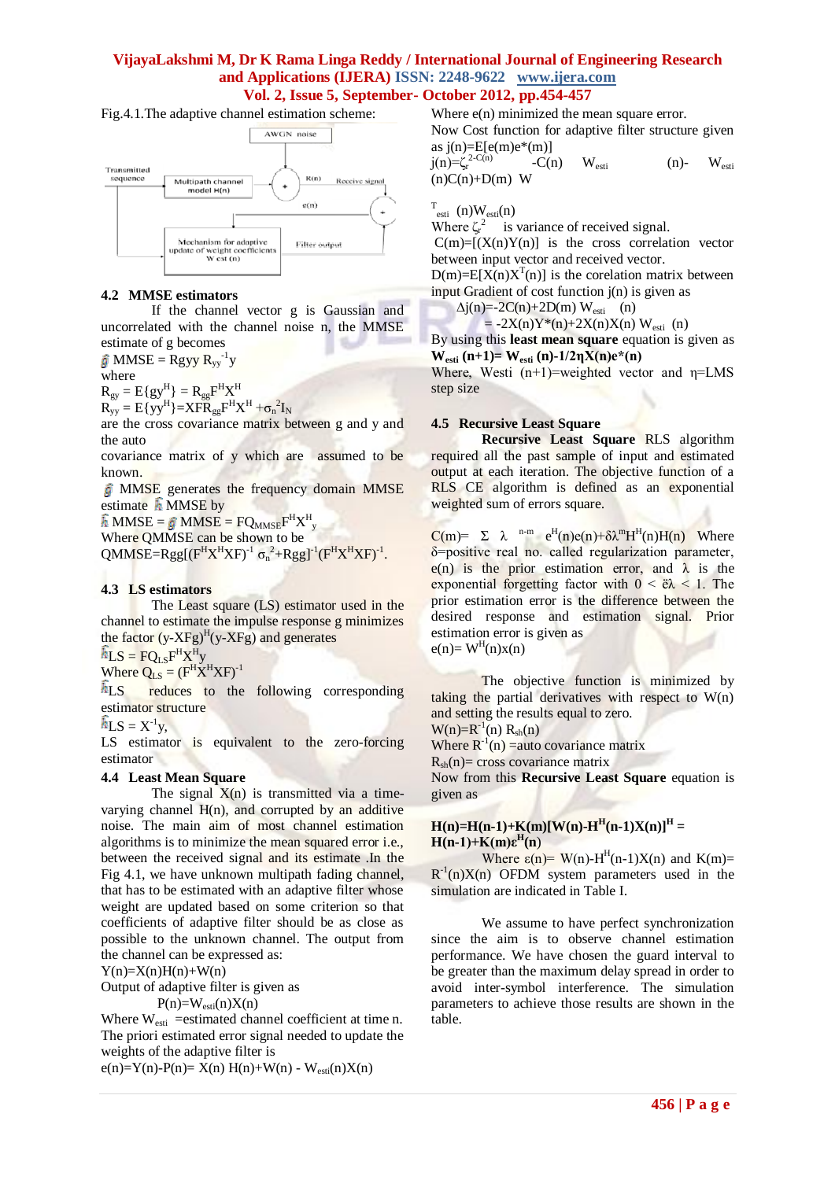## **VijayaLakshmi M, Dr K Rama Linga Reddy / International Journal of Engineering Research and Applications (IJERA) ISSN: 2248-9622 www.ijera.com Vol. 2, Issue 5, September- October 2012, pp.454-457**

Fig.4.1.The adaptive channel estimation scheme:



#### **4.2 MMSE estimators**

If the channel vector g is Gaussian and uncorrelated with the channel noise n, the MMSE estimate of g becomes

 $MMSE = Rgyy R_{yy}^{-1}y$ 

where

 $R_{gy} = E\{gy^H\} = R_{gg}F^HX^H$ 

 $R_{yy} = E{yy}^H$  =  $XFR_{gg}F^HX^H + \sigma_n^2I_N$ 

are the cross covariance matrix between g and y and the auto

covariance matrix of y which are assumed to be known.

MMSE generates the frequency domain MMSE estimate  $\hat{h}$  MMSE by

 $MMSE = \hat{g} MMSE = FQ_{MMSE}F^{H}X^{H}_{y}$ 

Where QMMSE can be shown to be

 $QMMSE=Rgg[(F^HX^HXF)^{-1} \sigma_n^2+Rgg]^{-1}(F^HX^HXF)^{-1}.$ 

## **4.3 LS estimators**

The Least square (LS) estimator used in the channel to estimate the impulse response g minimizes the factor  $(y-XFg)^{H}(y-XFg)$  and generates

 $LS = FQ_{LS}F^{H}X^{H}y$ 

Where  $Q_{LS} = (F^H X^H X F)^{-1}$ 

 $h_{LS}$  reduces to the following corresponding estimator structure

 $LS = X^{-1}y$ ,

LS estimator is equivalent to the zero-forcing estimator

#### **4.4 Least Mean Square**

The signal  $X(n)$  is transmitted via a timevarying channel  $H(n)$ , and corrupted by an additive noise. The main aim of most channel estimation algorithms is to minimize the mean squared error i.e., between the received signal and its estimate .In the Fig 4.1, we have unknown multipath fading channel, that has to be estimated with an adaptive filter whose weight are updated based on some criterion so that coefficients of adaptive filter should be as close as possible to the unknown channel. The output from the channel can be expressed as:

 $Y(n)=X(n)H(n)+W(n)$ 

Output of adaptive filter is given as

 $P(n)=W_{\text{esti}}(n)X(n)$ 

Where  $W_{\text{esti}}$  =estimated channel coefficient at time n. The priori estimated error signal needed to update the weights of the adaptive filter is

e(n)=Y(n)-P(n)= X(n) H(n)+W(n) - W<sub>esti</sub>(n)X(n)

Where  $e(n)$  minimized the mean square error.

Now Cost function for adaptive filter structure given as  $j(n)=E[e(m)e^{*}(m)]$ 

 $j(n)=\zeta_r^{2-C(n)}$  $-C(n)$   $W_{esti}$  (n)-  $W_{esti}$  $(n)C(n)+D(m)$  W

 $T_{\text{esti}}(n)W_{\text{esti}}(n)$ 

Where  $\zeta_r^2$  is variance of received signal.

 $C(m)=[(X(n)Y(n)]$  is the cross correlation vector between input vector and received vector.

 $D(m) = E[X(n)X^{T}(n)]$  is the corelation matrix between input Gradient of cost function j(n) is given as

 $\Delta j(n) = 2C(n) + 2D(m) W_{\text{esti}}$  (n)

 $= -2X(n)Y^*(n)+2X(n)X(n)$  W<sub>esti</sub> (n)

By using this **least mean square** equation is given as **W**<sub>esti</sub>  $(n+1) = W_{esti}(n) - 1/2ηX(n)e^{*}(n)$ 

Where, Westi  $(n+1)$ =weighted vector and  $\eta$ =LMS step size

### **4.5 Recursive Least Square**

**Recursive Least Square** RLS algorithm required all the past sample of input and estimated output at each iteration. The objective function of a RLS CE algorithm is defined as an exponential weighted sum of errors square.

 $C(m) = \sum \lambda^{n-m} e^{H}(n)e(n)+\delta \lambda^{m}H^{H}(n)H(n)$  Where δ=positive real no. called regularization parameter, e(n) is the prior estimation error, and  $\lambda$  is the exponential forgetting factor with  $0 < \tilde{e} \lambda < 1$ . The prior estimation error is the difference between the desired response and estimation signal. Prior estimation error is given as

 $e(n) = W<sup>H</sup>(n)x(n)$ 

The objective function is minimized by taking the partial derivatives with respect to  $W(n)$ and setting the results equal to zero.

 $W(n)=R^{-1}(n) R_{sh}(n)$ 

Where  $R^{-1}(n)$  = auto covariance matrix

 $R_{sh}(n)$ = cross covariance matrix

Now from this **Recursive Least Square** equation is given as

## $H(n)=H(n-1)+K(m)[W(n)-H<sup>H</sup>(n-1)X(n)]<sup>H</sup>$ **H(n-1)+K(m)ε<sup>H</sup> (n**)

Where  $\varepsilon(n)$ = W(n)-H<sup>H</sup>(n-1)X(n) and K(m)=  $R^{-1}(n)X(n)$  OFDM system parameters used in the simulation are indicated in Table I.

We assume to have perfect synchronization since the aim is to observe channel estimation performance. We have chosen the guard interval to be greater than the maximum delay spread in order to avoid inter-symbol interference. The simulation parameters to achieve those results are shown in the table.